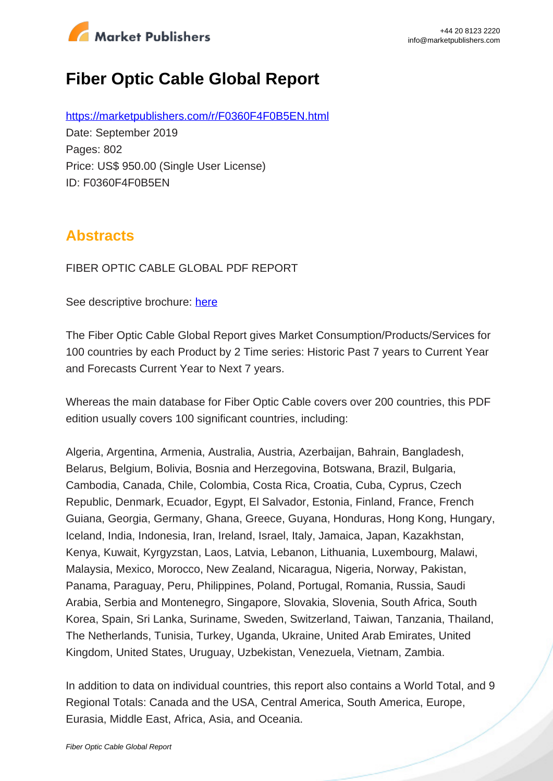

# **Fiber Optic Cable Global Report**

https://marketpublishers.com/r/F0360F4F0B5EN.html Date: September 2019 Pages: 802 Price: US\$ 950.00 (Single User License) ID: F0360F4F0B5EN

## **Abstracts**

FIBER OPTIC CABLE GLOBAL PDF REPORT

See descriptive brochure: here

The Fiber Optic Cable Global Report gives Market Consumption/Products/Services for 100 countries by each Product by 2 Time series: Historic Past 7 years to Current Year and Forecasts Current Year to Next 7 years.

Whereas the main database for Fiber Optic Cable covers over 200 countries, this PDF edition usually covers 100 significant countries, including:

Algeria, Argentina, Armenia, Australia, Austria, Azerbaijan, Bahrain, Bangladesh, Belarus, Belgium, Bolivia, Bosnia and Herzegovina, Botswana, Brazil, Bulgaria, Cambodia, Canada, Chile, Colombia, Costa Rica, Croatia, Cuba, Cyprus, Czech Republic, Denmark, Ecuador, Egypt, El Salvador, Estonia, Finland, France, French Guiana, Georgia, Germany, Ghana, Greece, Guyana, Honduras, Hong Kong, Hungary, Iceland, India, Indonesia, Iran, Ireland, Israel, Italy, Jamaica, Japan, Kazakhstan, Kenya, Kuwait, Kyrgyzstan, Laos, Latvia, Lebanon, Lithuania, Luxembourg, Malawi, Malaysia, Mexico, Morocco, New Zealand, Nicaragua, Nigeria, Norway, Pakistan, Panama, Paraguay, Peru, Philippines, Poland, Portugal, Romania, Russia, Saudi Arabia, Serbia and Montenegro, Singapore, Slovakia, Slovenia, South Africa, South Korea, Spain, Sri Lanka, Suriname, Sweden, Switzerland, Taiwan, Tanzania, Thailand, The Netherlands, Tunisia, Turkey, Uganda, Ukraine, United Arab Emirates, United Kingdom, United States, Uruguay, Uzbekistan, Venezuela, Vietnam, Zambia.

In addition to data on individual countries, this report also contains a World Total, and 9 Regional Totals: Canada and the USA, Central America, South America, Europe, Eurasia, Middle East, Africa, Asia, and Oceania.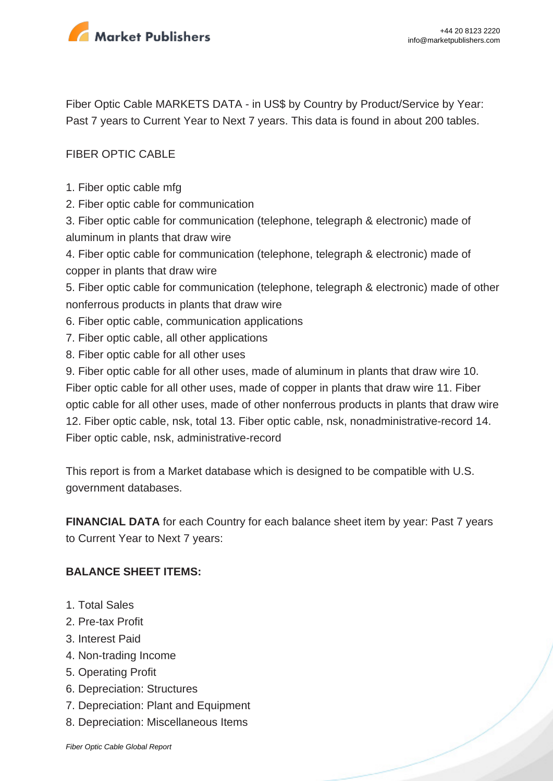

Fiber Optic Cable MARKETS DATA - in US\$ by Country by Product/Service by Year: Past 7 years to Current Year to Next 7 years. This data is found in about 200 tables.

## FIBER OPTIC CABLE

- 1. Fiber optic cable mfg
- 2. Fiber optic cable for communication

3. Fiber optic cable for communication (telephone, telegraph & electronic) made of aluminum in plants that draw wire

4. Fiber optic cable for communication (telephone, telegraph & electronic) made of copper in plants that draw wire

5. Fiber optic cable for communication (telephone, telegraph & electronic) made of other nonferrous products in plants that draw wire

- 6. Fiber optic cable, communication applications
- 7. Fiber optic cable, all other applications
- 8. Fiber optic cable for all other uses

9. Fiber optic cable for all other uses, made of aluminum in plants that draw wire 10. Fiber optic cable for all other uses, made of copper in plants that draw wire 11. Fiber optic cable for all other uses, made of other nonferrous products in plants that draw wire 12. Fiber optic cable, nsk, total 13. Fiber optic cable, nsk, nonadministrative-record 14. Fiber optic cable, nsk, administrative-record

This report is from a Market database which is designed to be compatible with U.S. government databases.

**FINANCIAL DATA** for each Country for each balance sheet item by year: Past 7 years to Current Year to Next 7 years:

#### **BALANCE SHEET ITEMS:**

- 1. Total Sales
- 2. Pre-tax Profit
- 3. Interest Paid
- 4. Non-trading Income
- 5. Operating Profit
- 6. Depreciation: Structures
- 7. Depreciation: Plant and Equipment
- 8. Depreciation: Miscellaneous Items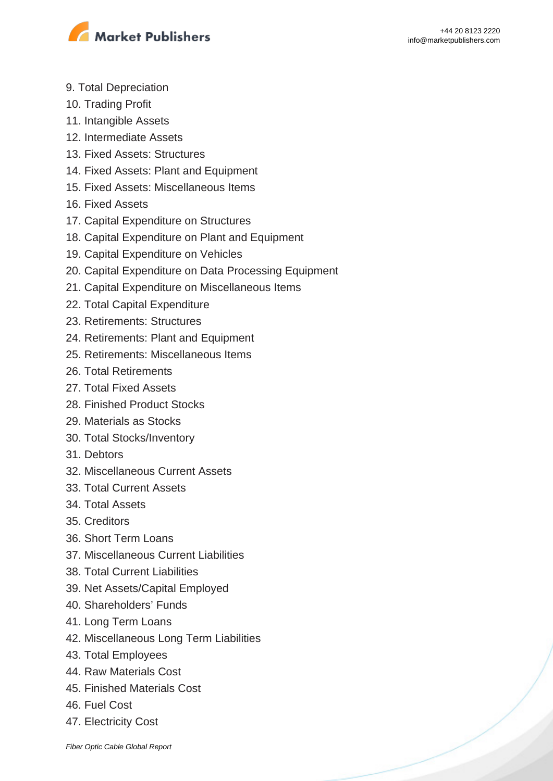

- 9. Total Depreciation
- 10. Trading Profit
- 11. Intangible Assets
- 12. Intermediate Assets
- 13. Fixed Assets: Structures
- 14. Fixed Assets: Plant and Equipment
- 15. Fixed Assets: Miscellaneous Items
- 16. Fixed Assets
- 17. Capital Expenditure on Structures
- 18. Capital Expenditure on Plant and Equipment
- 19. Capital Expenditure on Vehicles
- 20. Capital Expenditure on Data Processing Equipment
- 21. Capital Expenditure on Miscellaneous Items
- 22. Total Capital Expenditure
- 23. Retirements: Structures
- 24. Retirements: Plant and Equipment
- 25. Retirements: Miscellaneous Items
- 26. Total Retirements
- 27. Total Fixed Assets
- 28. Finished Product Stocks
- 29. Materials as Stocks
- 30. Total Stocks/Inventory
- 31. Debtors
- 32. Miscellaneous Current Assets
- 33. Total Current Assets
- 34. Total Assets
- 35. Creditors
- 36. Short Term Loans
- 37. Miscellaneous Current Liabilities
- 38. Total Current Liabilities
- 39. Net Assets/Capital Employed
- 40. Shareholders' Funds
- 41. Long Term Loans
- 42. Miscellaneous Long Term Liabilities
- 43. Total Employees
- 44. Raw Materials Cost
- 45. Finished Materials Cost
- 46. Fuel Cost
- 47. Electricity Cost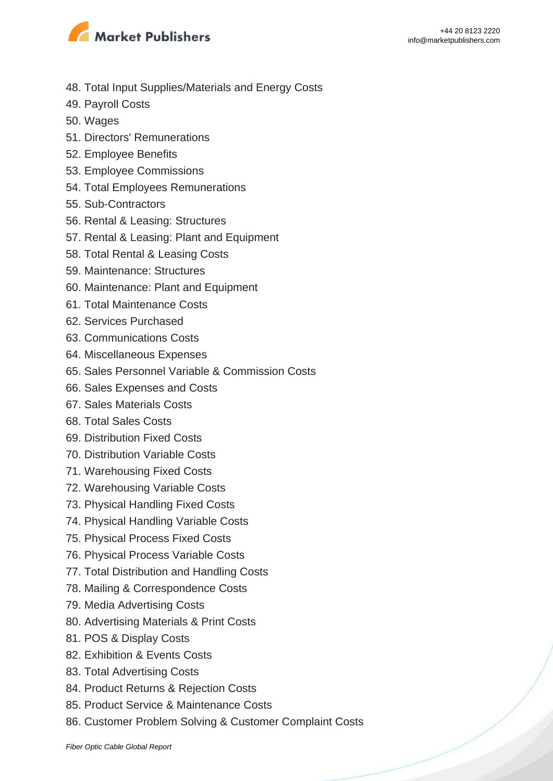

- 48. Total Input Supplies/Materials and Energy Costs
- 49. Payroll Costs
- 50. Wages
- 51. Directors' Remunerations
- 52. Employee Benefits
- 53. Employee Commissions
- 54. Total Employees Remunerations
- 55. Sub-Contractors
- 56. Rental & Leasing: Structures
- 57. Rental & Leasing: Plant and Equipment
- 58. Total Rental & Leasing Costs
- 59. Maintenance: Structures
- 60. Maintenance: Plant and Equipment
- 61. Total Maintenance Costs
- 62. Services Purchased
- 63. Communications Costs
- 64. Miscellaneous Expenses
- 65. Sales Personnel Variable & Commission Costs
- 66. Sales Expenses and Costs
- 67. Sales Materials Costs
- 68. Total Sales Costs
- 69. Distribution Fixed Costs
- 70. Distribution Variable Costs
- 71. Warehousing Fixed Costs
- 72. Warehousing Variable Costs
- 73. Physical Handling Fixed Costs
- 74. Physical Handling Variable Costs
- 75. Physical Process Fixed Costs
- 76. Physical Process Variable Costs
- 77. Total Distribution and Handling Costs
- 78. Mailing & Correspondence Costs
- 79. Media Advertising Costs
- 80. Advertising Materials & Print Costs
- 81. POS & Display Costs
- 82. Exhibition & Events Costs
- 83. Total Advertising Costs
- 84. Product Returns & Rejection Costs
- 85. Product Service & Maintenance Costs
- 86. Customer Problem Solving & Customer Complaint Costs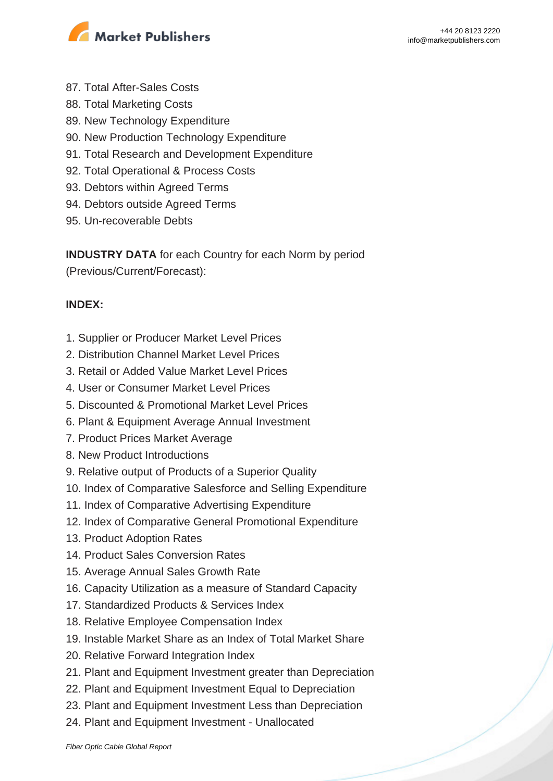

- 87. Total After-Sales Costs
- 88. Total Marketing Costs
- 89. New Technology Expenditure
- 90. New Production Technology Expenditure
- 91. Total Research and Development Expenditure
- 92. Total Operational & Process Costs
- 93. Debtors within Agreed Terms
- 94. Debtors outside Agreed Terms
- 95. Un-recoverable Debts

**INDUSTRY DATA** for each Country for each Norm by period (Previous/Current/Forecast):

## **INDEX:**

- 1. Supplier or Producer Market Level Prices
- 2. Distribution Channel Market Level Prices
- 3. Retail or Added Value Market Level Prices
- 4. User or Consumer Market Level Prices
- 5. Discounted & Promotional Market Level Prices
- 6. Plant & Equipment Average Annual Investment
- 7. Product Prices Market Average
- 8. New Product Introductions
- 9. Relative output of Products of a Superior Quality
- 10. Index of Comparative Salesforce and Selling Expenditure
- 11. Index of Comparative Advertising Expenditure
- 12. Index of Comparative General Promotional Expenditure
- 13. Product Adoption Rates
- 14. Product Sales Conversion Rates
- 15. Average Annual Sales Growth Rate
- 16. Capacity Utilization as a measure of Standard Capacity
- 17. Standardized Products & Services Index
- 18. Relative Employee Compensation Index
- 19. Instable Market Share as an Index of Total Market Share
- 20. Relative Forward Integration Index
- 21. Plant and Equipment Investment greater than Depreciation
- 22. Plant and Equipment Investment Equal to Depreciation
- 23. Plant and Equipment Investment Less than Depreciation
- 24. Plant and Equipment Investment Unallocated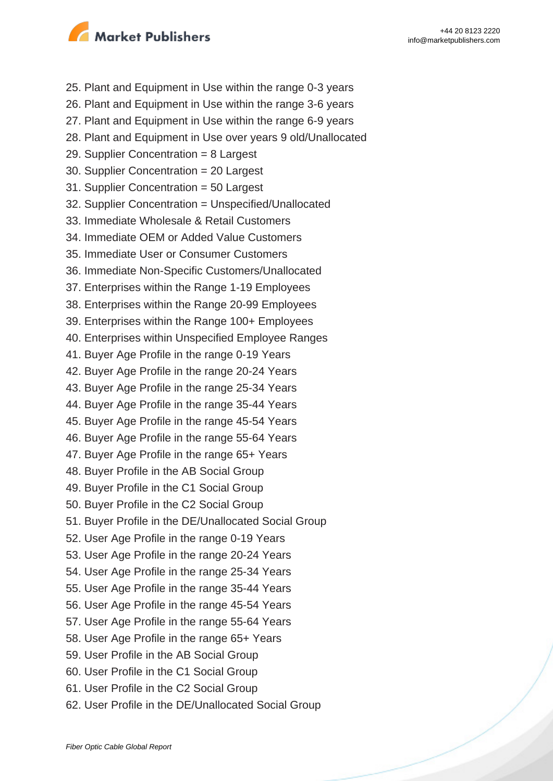

25. Plant and Equipment in Use within the range 0-3 years 26. Plant and Equipment in Use within the range 3-6 years 27. Plant and Equipment in Use within the range 6-9 years 28. Plant and Equipment in Use over years 9 old/Unallocated 29. Supplier Concentration = 8 Largest 30. Supplier Concentration = 20 Largest 31. Supplier Concentration = 50 Largest 32. Supplier Concentration = Unspecified/Unallocated 33. Immediate Wholesale & Retail Customers 34. Immediate OEM or Added Value Customers 35. Immediate User or Consumer Customers 36. Immediate Non-Specific Customers/Unallocated 37. Enterprises within the Range 1-19 Employees 38. Enterprises within the Range 20-99 Employees 39. Enterprises within the Range 100+ Employees 40. Enterprises within Unspecified Employee Ranges 41. Buyer Age Profile in the range 0-19 Years 42. Buyer Age Profile in the range 20-24 Years 43. Buyer Age Profile in the range 25-34 Years 44. Buyer Age Profile in the range 35-44 Years 45. Buyer Age Profile in the range 45-54 Years 46. Buyer Age Profile in the range 55-64 Years 47. Buyer Age Profile in the range 65+ Years 48. Buyer Profile in the AB Social Group 49. Buyer Profile in the C1 Social Group 50. Buyer Profile in the C2 Social Group 51. Buyer Profile in the DE/Unallocated Social Group 52. User Age Profile in the range 0-19 Years 53. User Age Profile in the range 20-24 Years 54. User Age Profile in the range 25-34 Years 55. User Age Profile in the range 35-44 Years 56. User Age Profile in the range 45-54 Years 57. User Age Profile in the range 55-64 Years 58. User Age Profile in the range 65+ Years 59. User Profile in the AB Social Group 60. User Profile in the C1 Social Group 61. User Profile in the C2 Social Group 62. User Profile in the DE/Unallocated Social Group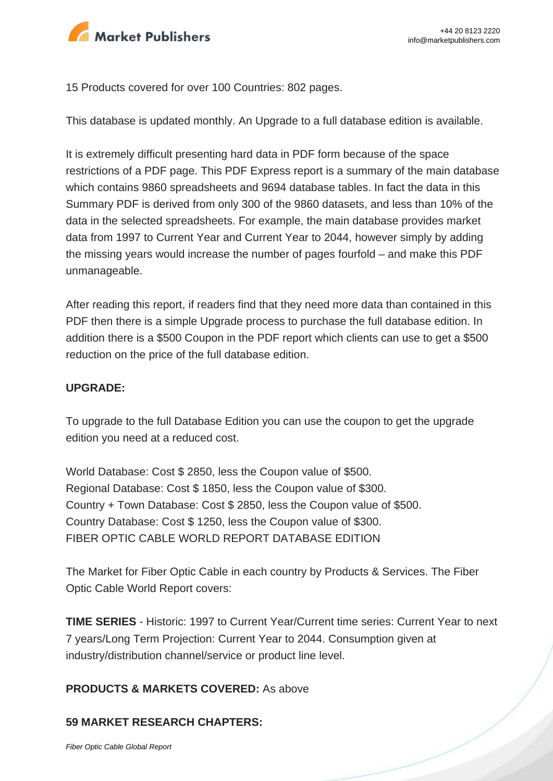

15 Products covered for over 100 Countries: 802 pages.

This database is updated monthly. An Upgrade to a full database edition is available.

It is extremely difficult presenting hard data in PDF form because of the space restrictions of a PDF page. This PDF Express report is a summary of the main database which contains 9860 spreadsheets and 9694 database tables. In fact the data in this Summary PDF is derived from only 300 of the 9860 datasets, and less than 10% of the data in the selected spreadsheets. For example, the main database provides market data from 1997 to Current Year and Current Year to 2044, however simply by adding the missing years would increase the number of pages fourfold – and make this PDF unmanageable.

After reading this report, if readers find that they need more data than contained in this PDF then there is a simple Upgrade process to purchase the full database edition. In addition there is a \$500 Coupon in the PDF report which clients can use to get a \$500 reduction on the price of the full database edition.

#### **UPGRADE:**

To upgrade to the full Database Edition you can use the coupon to get the upgrade edition you need at a reduced cost.

World Database: Cost \$ 2850, less the Coupon value of \$500. Regional Database: Cost \$ 1850, less the Coupon value of \$300. Country + Town Database: Cost \$ 2850, less the Coupon value of \$500. Country Database: Cost \$ 1250, less the Coupon value of \$300. FIBER OPTIC CABLE WORLD REPORT DATABASE EDITION

The Market for Fiber Optic Cable in each country by Products & Services. The Fiber Optic Cable World Report covers:

**TIME SERIES** - Historic: 1997 to Current Year/Current time series: Current Year to next 7 years/Long Term Projection: Current Year to 2044. Consumption given at industry/distribution channel/service or product line level.

#### **PRODUCTS & MARKETS COVERED:** As above

#### **59 MARKET RESEARCH CHAPTERS:**

[Fiber Optic Cable Global Report](https://marketpublishers.com/report/hardware/fiber-optic-cable-global-report.html)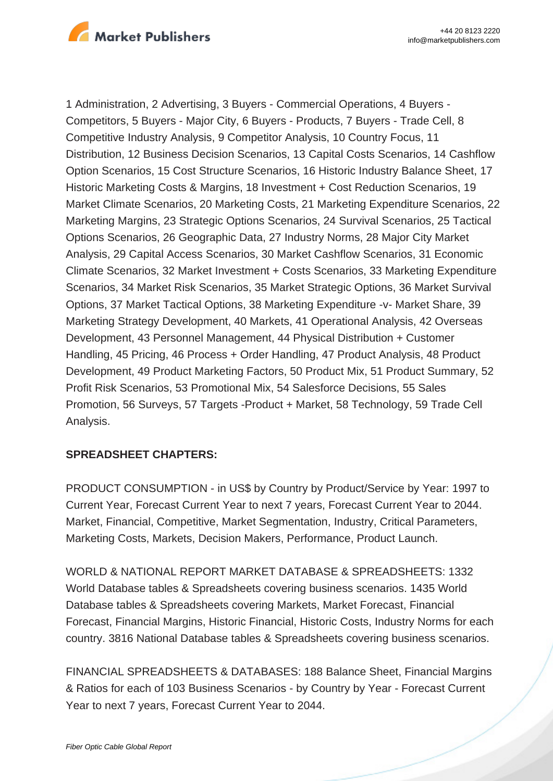

1 Administration, 2 Advertising, 3 Buyers - Commercial Operations, 4 Buyers - Competitors, 5 Buyers - Major City, 6 Buyers - Products, 7 Buyers - Trade Cell, 8 Competitive Industry Analysis, 9 Competitor Analysis, 10 Country Focus, 11 Distribution, 12 Business Decision Scenarios, 13 Capital Costs Scenarios, 14 Cashflow Option Scenarios, 15 Cost Structure Scenarios, 16 Historic Industry Balance Sheet, 17 Historic Marketing Costs & Margins, 18 Investment + Cost Reduction Scenarios, 19 Market Climate Scenarios, 20 Marketing Costs, 21 Marketing Expenditure Scenarios, 22 Marketing Margins, 23 Strategic Options Scenarios, 24 Survival Scenarios, 25 Tactical Options Scenarios, 26 Geographic Data, 27 Industry Norms, 28 Major City Market Analysis, 29 Capital Access Scenarios, 30 Market Cashflow Scenarios, 31 Economic Climate Scenarios, 32 Market Investment + Costs Scenarios, 33 Marketing Expenditure Scenarios, 34 Market Risk Scenarios, 35 Market Strategic Options, 36 Market Survival Options, 37 Market Tactical Options, 38 Marketing Expenditure -v- Market Share, 39 Marketing Strategy Development, 40 Markets, 41 Operational Analysis, 42 Overseas Development, 43 Personnel Management, 44 Physical Distribution + Customer Handling, 45 Pricing, 46 Process + Order Handling, 47 Product Analysis, 48 Product Development, 49 Product Marketing Factors, 50 Product Mix, 51 Product Summary, 52 Profit Risk Scenarios, 53 Promotional Mix, 54 Salesforce Decisions, 55 Sales Promotion, 56 Surveys, 57 Targets -Product + Market, 58 Technology, 59 Trade Cell Analysis.

## **SPREADSHEET CHAPTERS:**

PRODUCT CONSUMPTION - in US\$ by Country by Product/Service by Year: 1997 to Current Year, Forecast Current Year to next 7 years, Forecast Current Year to 2044. Market, Financial, Competitive, Market Segmentation, Industry, Critical Parameters, Marketing Costs, Markets, Decision Makers, Performance, Product Launch.

WORLD & NATIONAL REPORT MARKET DATABASE & SPREADSHEETS: 1332 World Database tables & Spreadsheets covering business scenarios. 1435 World Database tables & Spreadsheets covering Markets, Market Forecast, Financial Forecast, Financial Margins, Historic Financial, Historic Costs, Industry Norms for each country. 3816 National Database tables & Spreadsheets covering business scenarios.

FINANCIAL SPREADSHEETS & DATABASES: 188 Balance Sheet, Financial Margins & Ratios for each of 103 Business Scenarios - by Country by Year - Forecast Current Year to next 7 years, Forecast Current Year to 2044.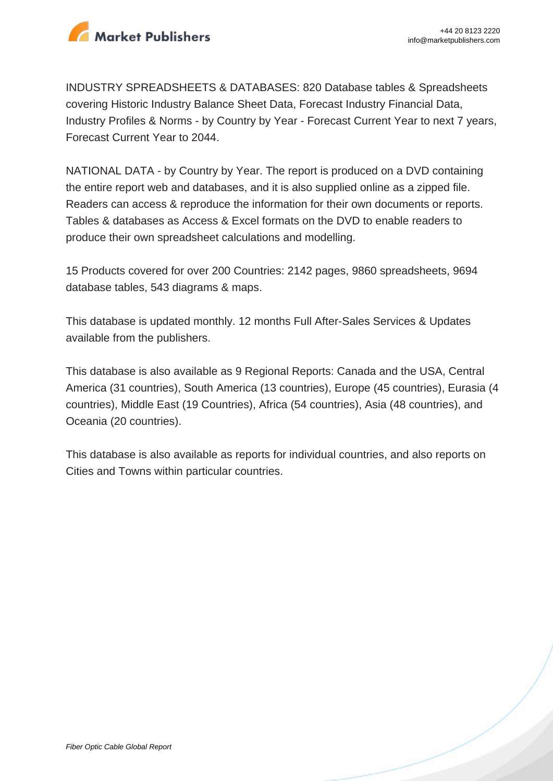

INDUSTRY SPREADSHEETS & DATABASES: 820 Database tables & Spreadsheets covering Historic Industry Balance Sheet Data, Forecast Industry Financial Data, Industry Profiles & Norms - by Country by Year - Forecast Current Year to next 7 years, Forecast Current Year to 2044.

NATIONAL DATA - by Country by Year. The report is produced on a DVD containing the entire report web and databases, and it is also supplied online as a zipped file. Readers can access & reproduce the information for their own documents or reports. Tables & databases as Access & Excel formats on the DVD to enable readers to produce their own spreadsheet calculations and modelling.

15 Products covered for over 200 Countries: 2142 pages, 9860 spreadsheets, 9694 database tables, 543 diagrams & maps.

This database is updated monthly. 12 months Full After-Sales Services & Updates available from the publishers.

This database is also available as 9 Regional Reports: Canada and the USA, Central America (31 countries), South America (13 countries), Europe (45 countries), Eurasia (4 countries), Middle East (19 Countries), Africa (54 countries), Asia (48 countries), and Oceania (20 countries).

This database is also available as reports for individual countries, and also reports on Cities and Towns within particular countries.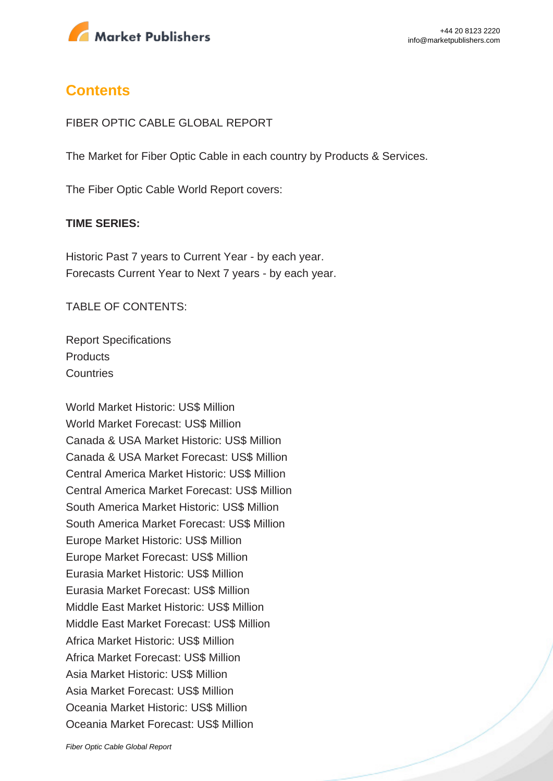

## **Contents**

#### FIBER OPTIC CABLE GLOBAL REPORT

The Market for Fiber Optic Cable in each country by Products & Services.

The Fiber Optic Cable World Report covers:

#### **TIME SERIES:**

Historic Past 7 years to Current Year - by each year. Forecasts Current Year to Next 7 years - by each year.

TABLE OF CONTENTS:

Report Specifications **Products Countries** 

World Market Historic: US\$ Million World Market Forecast: US\$ Million Canada & USA Market Historic: US\$ Million Canada & USA Market Forecast: US\$ Million Central America Market Historic: US\$ Million Central America Market Forecast: US\$ Million South America Market Historic: US\$ Million South America Market Forecast: US\$ Million Europe Market Historic: US\$ Million Europe Market Forecast: US\$ Million Eurasia Market Historic: US\$ Million Eurasia Market Forecast: US\$ Million Middle East Market Historic: US\$ Million Middle East Market Forecast: US\$ Million Africa Market Historic: US\$ Million Africa Market Forecast: US\$ Million Asia Market Historic: US\$ Million Asia Market Forecast: US\$ Million Oceania Market Historic: US\$ Million Oceania Market Forecast: US\$ Million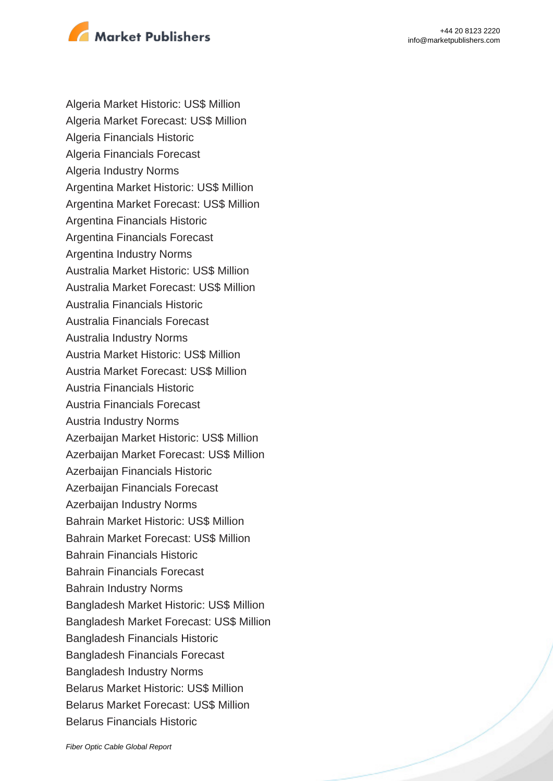

Algeria Market Historic: US\$ Million Algeria Market Forecast: US\$ Million Algeria Financials Historic Algeria Financials Forecast Algeria Industry Norms Argentina Market Historic: US\$ Million Argentina Market Forecast: US\$ Million Argentina Financials Historic Argentina Financials Forecast Argentina Industry Norms Australia Market Historic: US\$ Million Australia Market Forecast: US\$ Million Australia Financials Historic Australia Financials Forecast Australia Industry Norms Austria Market Historic: US\$ Million Austria Market Forecast: US\$ Million Austria Financials Historic Austria Financials Forecast Austria Industry Norms Azerbaijan Market Historic: US\$ Million Azerbaijan Market Forecast: US\$ Million Azerbaijan Financials Historic Azerbaijan Financials Forecast Azerbaijan Industry Norms Bahrain Market Historic: US\$ Million Bahrain Market Forecast: US\$ Million Bahrain Financials Historic Bahrain Financials Forecast Bahrain Industry Norms Bangladesh Market Historic: US\$ Million Bangladesh Market Forecast: US\$ Million Bangladesh Financials Historic Bangladesh Financials Forecast Bangladesh Industry Norms Belarus Market Historic: US\$ Million Belarus Market Forecast: US\$ Million Belarus Financials Historic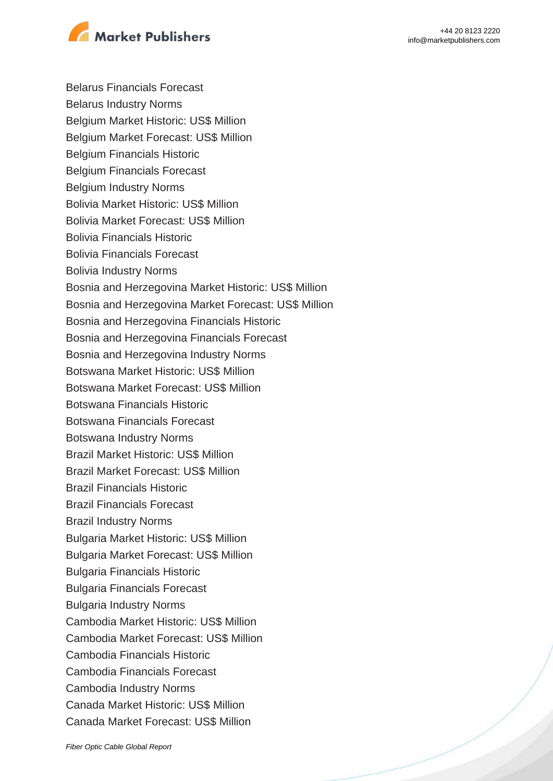

Belarus Financials Forecast Belarus Industry Norms Belgium Market Historic: US\$ Million Belgium Market Forecast: US\$ Million Belgium Financials Historic Belgium Financials Forecast Belgium Industry Norms Bolivia Market Historic: US\$ Million Bolivia Market Forecast: US\$ Million Bolivia Financials Historic Bolivia Financials Forecast Bolivia Industry Norms Bosnia and Herzegovina Market Historic: US\$ Million Bosnia and Herzegovina Market Forecast: US\$ Million Bosnia and Herzegovina Financials Historic Bosnia and Herzegovina Financials Forecast Bosnia and Herzegovina Industry Norms Botswana Market Historic: US\$ Million Botswana Market Forecast: US\$ Million Botswana Financials Historic Botswana Financials Forecast Botswana Industry Norms Brazil Market Historic: US\$ Million Brazil Market Forecast: US\$ Million Brazil Financials Historic Brazil Financials Forecast Brazil Industry Norms Bulgaria Market Historic: US\$ Million Bulgaria Market Forecast: US\$ Million Bulgaria Financials Historic Bulgaria Financials Forecast Bulgaria Industry Norms Cambodia Market Historic: US\$ Million Cambodia Market Forecast: US\$ Million Cambodia Financials Historic Cambodia Financials Forecast Cambodia Industry Norms Canada Market Historic: US\$ Million Canada Market Forecast: US\$ Million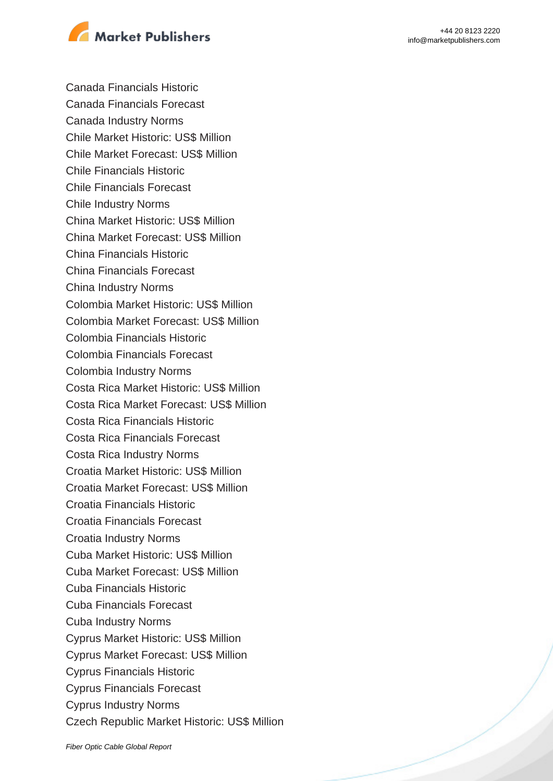

Canada Financials Historic Canada Financials Forecast Canada Industry Norms Chile Market Historic: US\$ Million Chile Market Forecast: US\$ Million Chile Financials Historic Chile Financials Forecast Chile Industry Norms China Market Historic: US\$ Million China Market Forecast: US\$ Million China Financials Historic China Financials Forecast China Industry Norms Colombia Market Historic: US\$ Million Colombia Market Forecast: US\$ Million Colombia Financials Historic Colombia Financials Forecast Colombia Industry Norms Costa Rica Market Historic: US\$ Million Costa Rica Market Forecast: US\$ Million Costa Rica Financials Historic Costa Rica Financials Forecast Costa Rica Industry Norms Croatia Market Historic: US\$ Million Croatia Market Forecast: US\$ Million Croatia Financials Historic Croatia Financials Forecast Croatia Industry Norms Cuba Market Historic: US\$ Million Cuba Market Forecast: US\$ Million Cuba Financials Historic Cuba Financials Forecast Cuba Industry Norms Cyprus Market Historic: US\$ Million Cyprus Market Forecast: US\$ Million Cyprus Financials Historic Cyprus Financials Forecast Cyprus Industry Norms Czech Republic Market Historic: US\$ Million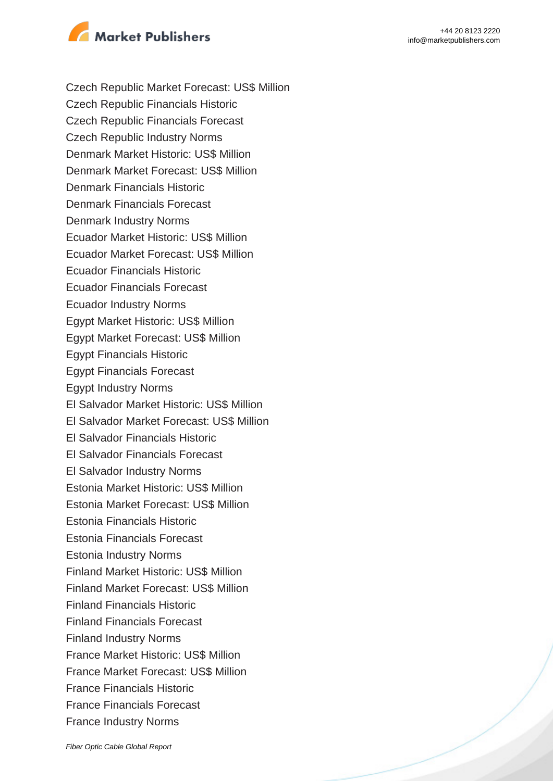

Czech Republic Market Forecast: US\$ Million Czech Republic Financials Historic Czech Republic Financials Forecast Czech Republic Industry Norms Denmark Market Historic: US\$ Million Denmark Market Forecast: US\$ Million Denmark Financials Historic Denmark Financials Forecast Denmark Industry Norms Ecuador Market Historic: US\$ Million Ecuador Market Forecast: US\$ Million Ecuador Financials Historic Ecuador Financials Forecast Ecuador Industry Norms Egypt Market Historic: US\$ Million Egypt Market Forecast: US\$ Million Egypt Financials Historic Egypt Financials Forecast Egypt Industry Norms El Salvador Market Historic: US\$ Million El Salvador Market Forecast: US\$ Million El Salvador Financials Historic El Salvador Financials Forecast El Salvador Industry Norms Estonia Market Historic: US\$ Million Estonia Market Forecast: US\$ Million Estonia Financials Historic Estonia Financials Forecast Estonia Industry Norms Finland Market Historic: US\$ Million Finland Market Forecast: US\$ Million Finland Financials Historic Finland Financials Forecast Finland Industry Norms France Market Historic: US\$ Million France Market Forecast: US\$ Million France Financials Historic France Financials Forecast France Industry Norms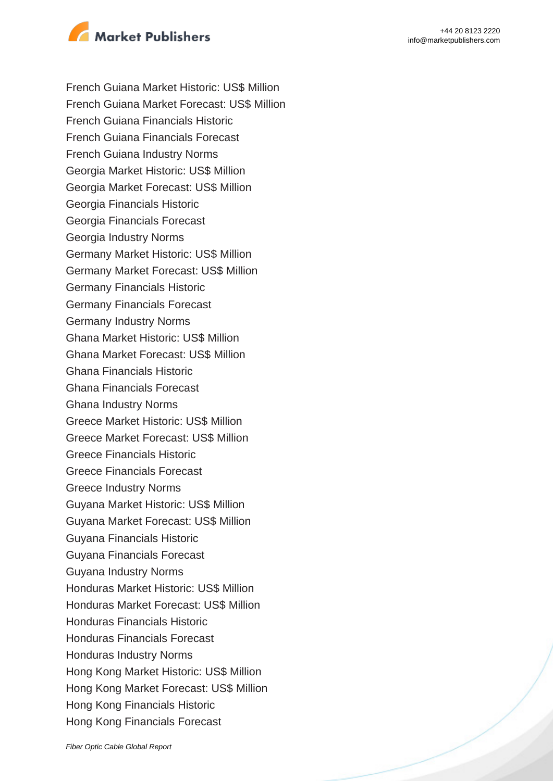

French Guiana Market Historic: US\$ Million French Guiana Market Forecast: US\$ Million French Guiana Financials Historic French Guiana Financials Forecast French Guiana Industry Norms Georgia Market Historic: US\$ Million Georgia Market Forecast: US\$ Million Georgia Financials Historic Georgia Financials Forecast Georgia Industry Norms Germany Market Historic: US\$ Million Germany Market Forecast: US\$ Million Germany Financials Historic Germany Financials Forecast Germany Industry Norms Ghana Market Historic: US\$ Million Ghana Market Forecast: US\$ Million Ghana Financials Historic Ghana Financials Forecast Ghana Industry Norms Greece Market Historic: US\$ Million Greece Market Forecast: US\$ Million Greece Financials Historic Greece Financials Forecast Greece Industry Norms Guyana Market Historic: US\$ Million Guyana Market Forecast: US\$ Million Guyana Financials Historic Guyana Financials Forecast Guyana Industry Norms Honduras Market Historic: US\$ Million Honduras Market Forecast: US\$ Million Honduras Financials Historic Honduras Financials Forecast Honduras Industry Norms Hong Kong Market Historic: US\$ Million Hong Kong Market Forecast: US\$ Million Hong Kong Financials Historic Hong Kong Financials Forecast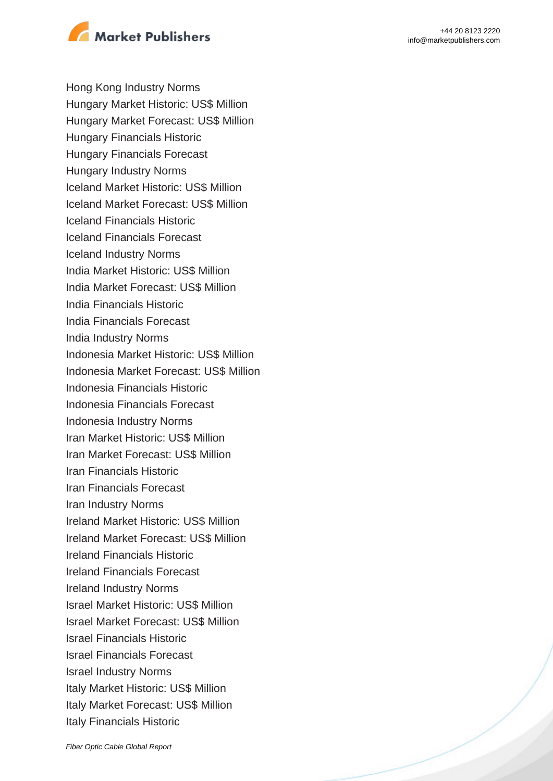

Hong Kong Industry Norms Hungary Market Historic: US\$ Million Hungary Market Forecast: US\$ Million Hungary Financials Historic Hungary Financials Forecast Hungary Industry Norms Iceland Market Historic: US\$ Million Iceland Market Forecast: US\$ Million Iceland Financials Historic Iceland Financials Forecast Iceland Industry Norms India Market Historic: US\$ Million India Market Forecast: US\$ Million India Financials Historic India Financials Forecast India Industry Norms Indonesia Market Historic: US\$ Million Indonesia Market Forecast: US\$ Million Indonesia Financials Historic Indonesia Financials Forecast Indonesia Industry Norms Iran Market Historic: US\$ Million Iran Market Forecast: US\$ Million Iran Financials Historic Iran Financials Forecast Iran Industry Norms Ireland Market Historic: US\$ Million Ireland Market Forecast: US\$ Million Ireland Financials Historic Ireland Financials Forecast Ireland Industry Norms Israel Market Historic: US\$ Million Israel Market Forecast: US\$ Million Israel Financials Historic Israel Financials Forecast Israel Industry Norms Italy Market Historic: US\$ Million Italy Market Forecast: US\$ Million Italy Financials Historic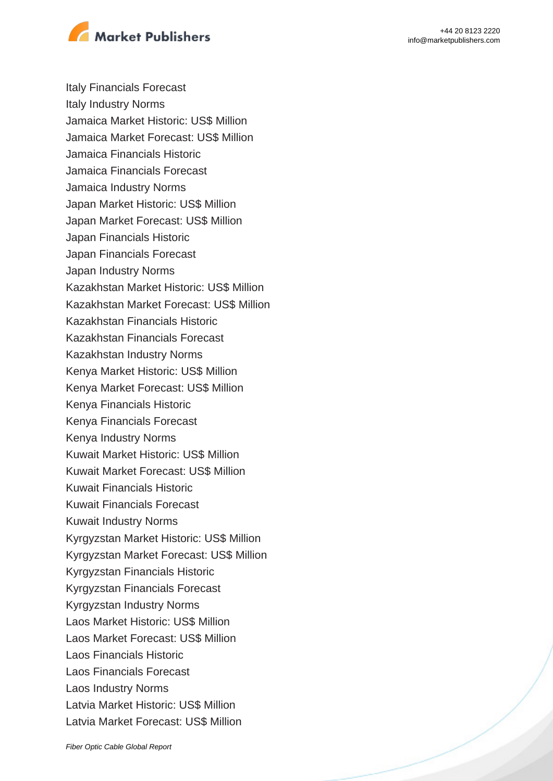

Italy Financials Forecast Italy Industry Norms Jamaica Market Historic: US\$ Million Jamaica Market Forecast: US\$ Million Jamaica Financials Historic Jamaica Financials Forecast Jamaica Industry Norms Japan Market Historic: US\$ Million Japan Market Forecast: US\$ Million Japan Financials Historic Japan Financials Forecast Japan Industry Norms Kazakhstan Market Historic: US\$ Million Kazakhstan Market Forecast: US\$ Million Kazakhstan Financials Historic Kazakhstan Financials Forecast Kazakhstan Industry Norms Kenya Market Historic: US\$ Million Kenya Market Forecast: US\$ Million Kenya Financials Historic Kenya Financials Forecast Kenya Industry Norms Kuwait Market Historic: US\$ Million Kuwait Market Forecast: US\$ Million Kuwait Financials Historic Kuwait Financials Forecast Kuwait Industry Norms Kyrgyzstan Market Historic: US\$ Million Kyrgyzstan Market Forecast: US\$ Million Kyrgyzstan Financials Historic Kyrgyzstan Financials Forecast Kyrgyzstan Industry Norms Laos Market Historic: US\$ Million Laos Market Forecast: US\$ Million Laos Financials Historic Laos Financials Forecast Laos Industry Norms Latvia Market Historic: US\$ Million Latvia Market Forecast: US\$ Million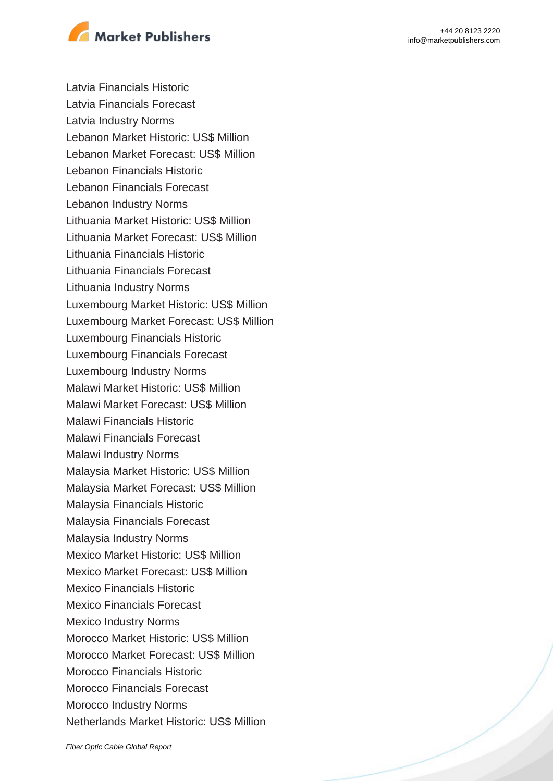



Latvia Financials Historic Latvia Financials Forecast Latvia Industry Norms Lebanon Market Historic: US\$ Million Lebanon Market Forecast: US\$ Million Lebanon Financials Historic Lebanon Financials Forecast Lebanon Industry Norms Lithuania Market Historic: US\$ Million Lithuania Market Forecast: US\$ Million Lithuania Financials Historic Lithuania Financials Forecast Lithuania Industry Norms Luxembourg Market Historic: US\$ Million Luxembourg Market Forecast: US\$ Million Luxembourg Financials Historic Luxembourg Financials Forecast Luxembourg Industry Norms Malawi Market Historic: US\$ Million Malawi Market Forecast: US\$ Million Malawi Financials Historic Malawi Financials Forecast Malawi Industry Norms Malaysia Market Historic: US\$ Million Malaysia Market Forecast: US\$ Million Malaysia Financials Historic Malaysia Financials Forecast Malaysia Industry Norms Mexico Market Historic: US\$ Million Mexico Market Forecast: US\$ Million Mexico Financials Historic Mexico Financials Forecast Mexico Industry Norms Morocco Market Historic: US\$ Million Morocco Market Forecast: US\$ Million Morocco Financials Historic Morocco Financials Forecast Morocco Industry Norms Netherlands Market Historic: US\$ Million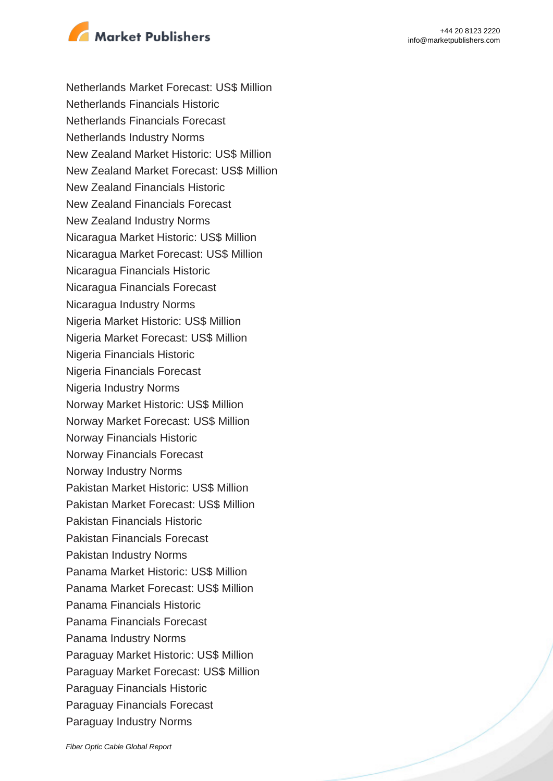

Netherlands Market Forecast: US\$ Million Netherlands Financials Historic Netherlands Financials Forecast Netherlands Industry Norms New Zealand Market Historic: US\$ Million New Zealand Market Forecast: US\$ Million New Zealand Financials Historic New Zealand Financials Forecast New Zealand Industry Norms Nicaragua Market Historic: US\$ Million Nicaragua Market Forecast: US\$ Million Nicaragua Financials Historic Nicaragua Financials Forecast Nicaragua Industry Norms Nigeria Market Historic: US\$ Million Nigeria Market Forecast: US\$ Million Nigeria Financials Historic Nigeria Financials Forecast Nigeria Industry Norms Norway Market Historic: US\$ Million Norway Market Forecast: US\$ Million Norway Financials Historic Norway Financials Forecast Norway Industry Norms Pakistan Market Historic: US\$ Million Pakistan Market Forecast: US\$ Million Pakistan Financials Historic Pakistan Financials Forecast Pakistan Industry Norms Panama Market Historic: US\$ Million Panama Market Forecast: US\$ Million Panama Financials Historic Panama Financials Forecast Panama Industry Norms Paraguay Market Historic: US\$ Million Paraguay Market Forecast: US\$ Million Paraguay Financials Historic Paraguay Financials Forecast Paraguay Industry Norms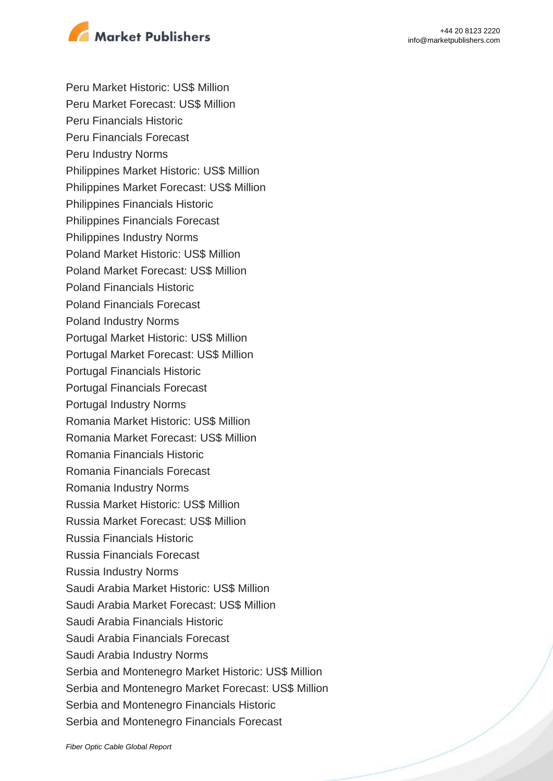

Peru Market Historic: US\$ Million Peru Market Forecast: US\$ Million Peru Financials Historic Peru Financials Forecast Peru Industry Norms Philippines Market Historic: US\$ Million Philippines Market Forecast: US\$ Million Philippines Financials Historic Philippines Financials Forecast Philippines Industry Norms Poland Market Historic: US\$ Million Poland Market Forecast: US\$ Million Poland Financials Historic Poland Financials Forecast Poland Industry Norms Portugal Market Historic: US\$ Million Portugal Market Forecast: US\$ Million Portugal Financials Historic Portugal Financials Forecast Portugal Industry Norms Romania Market Historic: US\$ Million Romania Market Forecast: US\$ Million Romania Financials Historic Romania Financials Forecast Romania Industry Norms Russia Market Historic: US\$ Million Russia Market Forecast: US\$ Million Russia Financials Historic Russia Financials Forecast Russia Industry Norms Saudi Arabia Market Historic: US\$ Million Saudi Arabia Market Forecast: US\$ Million Saudi Arabia Financials Historic Saudi Arabia Financials Forecast Saudi Arabia Industry Norms Serbia and Montenegro Market Historic: US\$ Million Serbia and Montenegro Market Forecast: US\$ Million Serbia and Montenegro Financials Historic Serbia and Montenegro Financials Forecast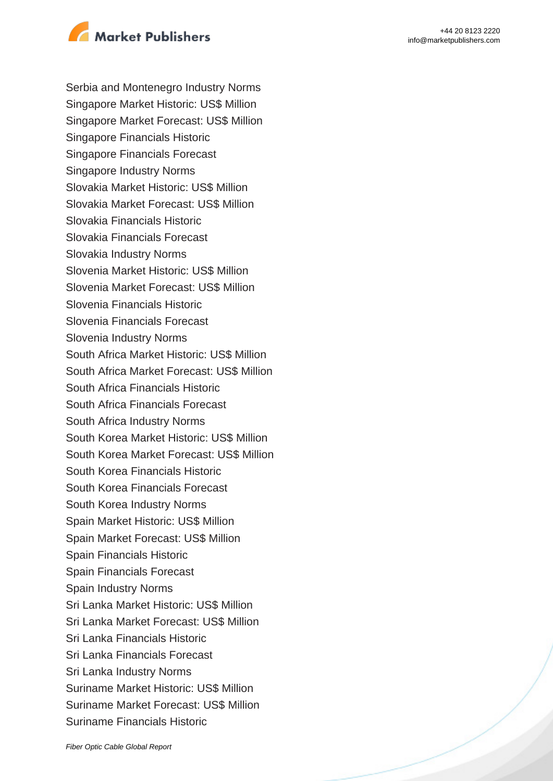

Serbia and Montenegro Industry Norms Singapore Market Historic: US\$ Million Singapore Market Forecast: US\$ Million Singapore Financials Historic Singapore Financials Forecast Singapore Industry Norms Slovakia Market Historic: US\$ Million Slovakia Market Forecast: US\$ Million Slovakia Financials Historic Slovakia Financials Forecast Slovakia Industry Norms Slovenia Market Historic: US\$ Million Slovenia Market Forecast: US\$ Million Slovenia Financials Historic Slovenia Financials Forecast Slovenia Industry Norms South Africa Market Historic: US\$ Million South Africa Market Forecast: US\$ Million South Africa Financials Historic South Africa Financials Forecast South Africa Industry Norms South Korea Market Historic: US\$ Million South Korea Market Forecast: US\$ Million South Korea Financials Historic South Korea Financials Forecast South Korea Industry Norms Spain Market Historic: US\$ Million Spain Market Forecast: US\$ Million Spain Financials Historic Spain Financials Forecast Spain Industry Norms Sri Lanka Market Historic: US\$ Million Sri Lanka Market Forecast: US\$ Million Sri Lanka Financials Historic Sri Lanka Financials Forecast Sri Lanka Industry Norms Suriname Market Historic: US\$ Million Suriname Market Forecast: US\$ Million Suriname Financials Historic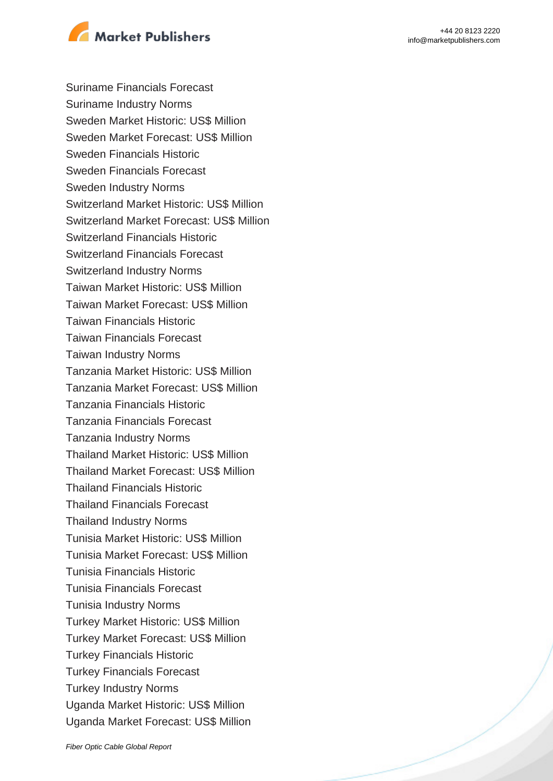



Suriname Financials Forecast Suriname Industry Norms Sweden Market Historic: US\$ Million Sweden Market Forecast: US\$ Million Sweden Financials Historic Sweden Financials Forecast Sweden Industry Norms Switzerland Market Historic: US\$ Million Switzerland Market Forecast: US\$ Million Switzerland Financials Historic Switzerland Financials Forecast Switzerland Industry Norms Taiwan Market Historic: US\$ Million Taiwan Market Forecast: US\$ Million Taiwan Financials Historic Taiwan Financials Forecast Taiwan Industry Norms Tanzania Market Historic: US\$ Million Tanzania Market Forecast: US\$ Million Tanzania Financials Historic Tanzania Financials Forecast Tanzania Industry Norms Thailand Market Historic: US\$ Million Thailand Market Forecast: US\$ Million Thailand Financials Historic Thailand Financials Forecast Thailand Industry Norms Tunisia Market Historic: US\$ Million Tunisia Market Forecast: US\$ Million Tunisia Financials Historic Tunisia Financials Forecast Tunisia Industry Norms Turkey Market Historic: US\$ Million Turkey Market Forecast: US\$ Million Turkey Financials Historic Turkey Financials Forecast Turkey Industry Norms Uganda Market Historic: US\$ Million Uganda Market Forecast: US\$ Million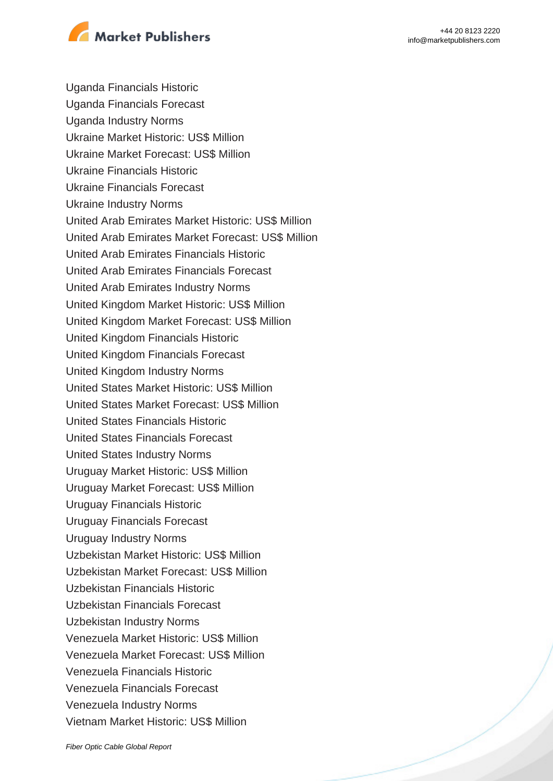

Uganda Financials Historic Uganda Financials Forecast Uganda Industry Norms Ukraine Market Historic: US\$ Million Ukraine Market Forecast: US\$ Million Ukraine Financials Historic Ukraine Financials Forecast Ukraine Industry Norms United Arab Emirates Market Historic: US\$ Million United Arab Emirates Market Forecast: US\$ Million United Arab Emirates Financials Historic United Arab Emirates Financials Forecast United Arab Emirates Industry Norms United Kingdom Market Historic: US\$ Million United Kingdom Market Forecast: US\$ Million United Kingdom Financials Historic United Kingdom Financials Forecast United Kingdom Industry Norms United States Market Historic: US\$ Million United States Market Forecast: US\$ Million United States Financials Historic United States Financials Forecast United States Industry Norms Uruguay Market Historic: US\$ Million Uruguay Market Forecast: US\$ Million Uruguay Financials Historic Uruguay Financials Forecast Uruguay Industry Norms Uzbekistan Market Historic: US\$ Million Uzbekistan Market Forecast: US\$ Million Uzbekistan Financials Historic Uzbekistan Financials Forecast Uzbekistan Industry Norms Venezuela Market Historic: US\$ Million Venezuela Market Forecast: US\$ Million Venezuela Financials Historic Venezuela Financials Forecast Venezuela Industry Norms Vietnam Market Historic: US\$ Million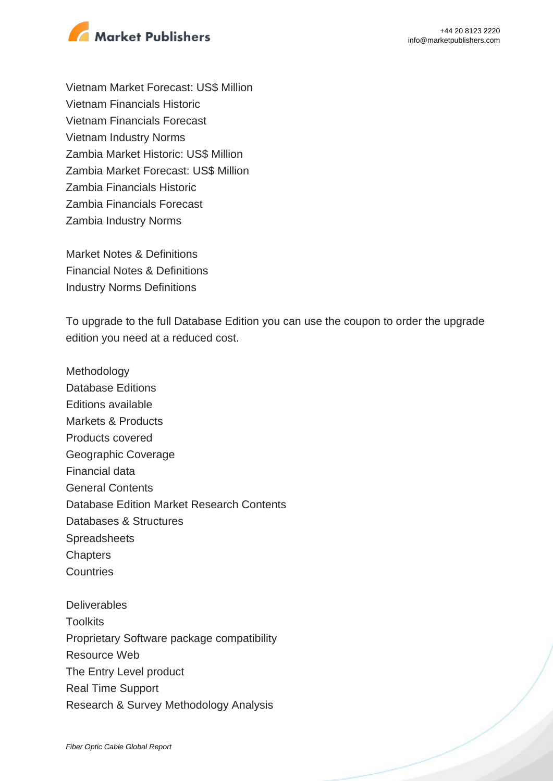



Vietnam Market Forecast: US\$ Million Vietnam Financials Historic Vietnam Financials Forecast Vietnam Industry Norms Zambia Market Historic: US\$ Million Zambia Market Forecast: US\$ Million Zambia Financials Historic Zambia Financials Forecast Zambia Industry Norms

Market Notes & Definitions Financial Notes & Definitions Industry Norms Definitions

To upgrade to the full Database Edition you can use the coupon to order the upgrade edition you need at a reduced cost.

Methodology Database Editions Editions available Markets & Products Products covered Geographic Coverage Financial data General Contents Database Edition Market Research Contents Databases & Structures Spreadsheets **Chapters Countries Deliverables Toolkits** Proprietary Software package compatibility Resource Web The Entry Level product

Real Time Support

Research & Survey Methodology Analysis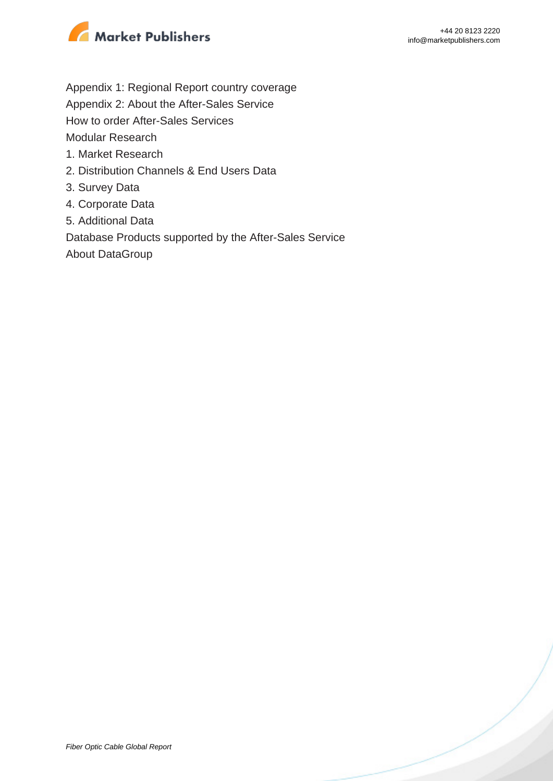

- Appendix 1: Regional Report country coverage
- Appendix 2: About the After-Sales Service
- How to order After-Sales Services

Modular Research

- 1. Market Research
- 2. Distribution Channels & End Users Data
- 3. Survey Data
- 4. Corporate Data
- 5. Additional Data

Database Products supported by the After-Sales Service

About DataGroup